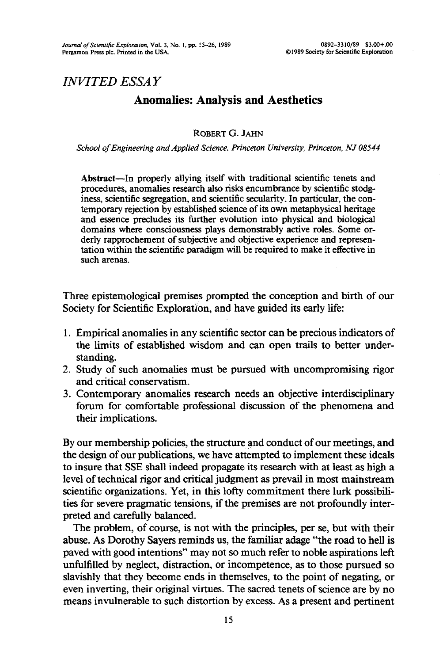## *INVITED ESSAY*

# **Anomalies: Analysis and Aesthetics**

## ROBERT G. JAHN

*School of Engineering and Applied Science, Princeton University, Princeton, NJ 08544*

**Abstract**—In properly allying itself with traditional scientific tenets and procedures, anomalies research also risks encumbrance by scientific stodginess, scientific segregation, and scientific secularity. In particular, the contemporary rejection by established science of its own metaphysical heritage and essence precludes its further evolution into physical and biological domains where consciousness plays demonstrably active roles. Some orderly rapprochement of subjective and objective experience and representation within the scientific paradigm will be required to make it effective in such arenas.

Three epistemological premises prompted the conception and birth of our Society for Scientific Exploration, and have guided its early life:

- 1. Empirical anomalies in any scientific sector can be precious indicators of the limits of established wisdom and can open trails to better understanding.
- 2. Study of such anomalies must be pursued with uncompromising rigor and critical conservatism.
- 3. Contemporary anomalies research needs an objective interdisciplinary forum for comfortable professional discussion of the phenomena and their implications.

By our membership policies, the structure and conduct of our meetings, and the design of our publications, we have attempted to implement these ideals to insure that SSE shall indeed propagate its research with at least as high a level of technical rigor and critical judgment as prevail in most mainstream scientific organizations. Yet, in this lofty commitment there lurk possibilities for severe pragmatic tensions, if the premises are not profoundly interpreted and carefully balanced.

The problem, of course, is not with the principles, per se, but with their abuse. As Dorothy Sayers reminds us, the familiar adage "the road to hell is paved with good intentions" may not so much refer to noble aspirations left unfulfilled by neglect, distraction, or incompetence, as to those pursued so slavishly that they become ends in themselves, to the point of negating, or even inverting, their original virtues. The sacred tenets of science are by no means invulnerable to such distortion by excess. As a present and pertinent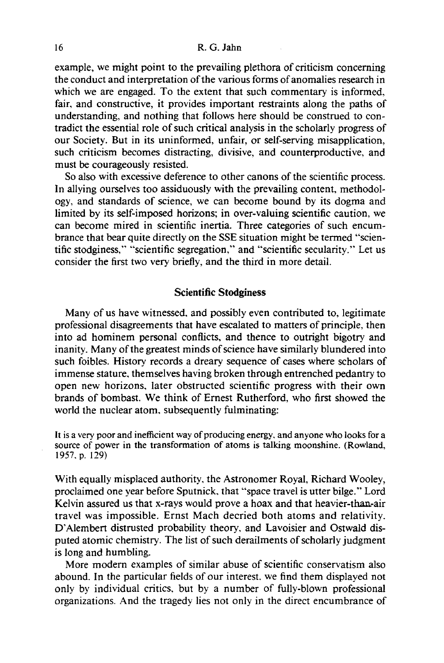example, we might point to the prevailing plethora of criticism concerning the conduct and interpretation of the various forms of anomalies research in which we are engaged. To the extent that such commentary is informed. fair, and constructive, it provides important restraints along the paths of understanding, and nothing that follows here should be construed to contradict the essential role of such critical analysis in the scholarly progress of our Society. But in its uninformed, unfair, or self-serving misapplication, such criticism becomes distracting, divisive, and counterproductive, and must be courageously resisted.

So also with excessive deference to other canons of the scientific process. In allying ourselves too assiduously with the prevailing content, methodology, and standards of science, we can become bound by its dogma and limited by its self-imposed horizons; in over-valuing scientific caution, we can become mired in scientific inertia. Three categories of such encumbrance that bear quite directly on the SSE situation might be termed "scientific stodginess," "scientific segregation," and "scientific secularity." Let us consider the first two very briefly, and the third in more detail.

### **Scientific Stodginess**

Many of us have witnessed, and possibly even contributed to, legitimate professional disagreements that have escalated to matters of principle, then into ad hominem personal conflicts, and thence to outright bigotry and inanity. Many of the greatest minds of science have similarly blundered into such foibles. History records a dreary sequence of cases where scholars of immense stature, themselves having broken through entrenched pedantry to open new horizons, later obstructed scientific progress with their own brands of bombast. We think of Ernest Rutherford, who first showed the world the nuclear atom, subsequently fulminating:

It is a very poor and inefficient way of producing energy, and anyone who looks for a source of power in the transformation of atoms is talking moonshine. (Rowland, 1957, p. 129)

With equally misplaced authority, the Astronomer Royal, Richard Wooley, proclaimed one year before Sputnick, that "space travel is utter bilge." Lord Kelvin assured us that x-rays would prove a hoax and that heavier-than-air travel was impossible. Ernst Mach decried both atoms and relativity. D'Alembert distrusted probability theory, and Lavoisier and Ostwald disputed atomic chemistry. The list of such derailments of scholarly judgment is long and humbling.

More modern examples of similar abuse of scientific conservatism also abound. In the particular fields of our interest, we find them displayed not only by individual critics, but by a number of fully-blown professional organizations. And the tragedy lies not only in the direct encumbrance of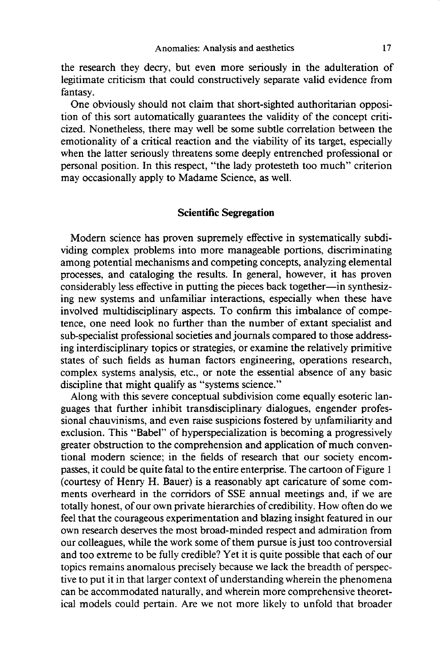the research they decry, but even more seriously in the adulteration of legitimate criticism that could constructively separate valid evidence from fantasy.

One obviously should not claim that short-sighted authoritarian opposition of this sort automatically guarantees the validity of the concept criticized. Nonetheless, there may well be some subtle correlation between the emotionality of a critical reaction and the viability of its target, especially when the latter seriously threatens some deeply entrenched professional or personal position. In this respect, "the lady protesteth too much" criterion may occasionally apply to Madame Science, as well.

#### **Scientific Segregation**

Modern science has proven supremely effective in systematically subdividing complex problems into more manageable portions, discriminating among potential mechanisms and competing concepts, analyzing elemental processes, and cataloging the results. In general, however, it has proven considerably less effective in putting the pieces back together—in synthesizing new systems and unfamiliar interactions, especially when these have involved multidisciplinary aspects. To confirm this imbalance of competence, one need look no further than the number of extant specialist and sub-specialist professional societies and journals compared to those addressing interdisciplinary topics or strategies, or examine the relatively primitive states of such fields as human factors engineering, operations research, complex systems analysis, etc., or note the essential absence of any basic discipline that might qualify as "systems science."

Along with this severe conceptual subdivision come equally esoteric languages that further inhibit transdisciplinary dialogues, engender professional chauvinisms, and even raise suspicions fostered by unfamiliarity and exclusion. This "Babel" of hyperspecialization is becoming a progressively greater obstruction to the comprehension and application of much conventional modern science; in the fields of research that our society encompasses, it could be quite fatal to the entire enterprise. The cartoon of Figure 1 (courtesy of Henry H. Bauer) is a reasonably apt caricature of some comments overheard in the corridors of SSE annual meetings and, if we are totally honest, of our own private hierarchies of credibility. How often do we feel that the courageous experimentation and blazing insight featured in our own research deserves the most broad-minded respect and admiration from our colleagues, while the work some of them pursue is just too controversial and too extreme to be fully credible? Yet it is quite possible that each of our topics remains anomalous precisely because we lack the breadth of perspective to put it in that larger context of understanding wherein the phenomena can be accommodated naturally, and wherein more comprehensive theoretical models could pertain. Are we not more likely to unfold that broader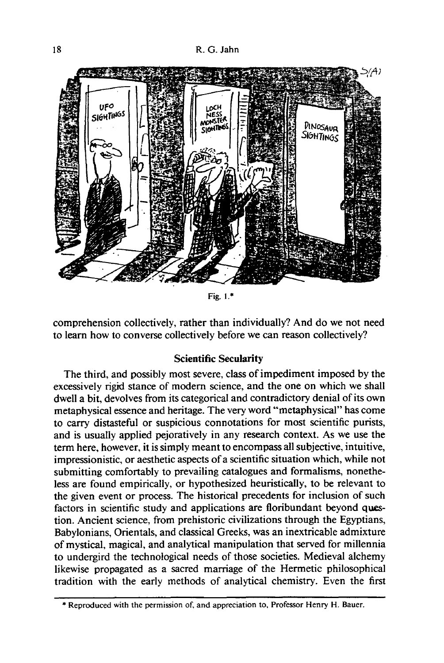18 R. G. Jahn



Fig. 1.\*

comprehension collectively, rather than individually? And do we not need to learn how to converse collectively before we can reason collectively?

## **Scientific Secularity**

The third, and possibly most severe, class of impediment imposed by the excessively rigid stance of modern science, and the one on which we shall dwell a bit, devolves from its categorical and contradictory denial of its own metaphysical essence and heritage. The very word "metaphysical" has come to carry distasteful or suspicious connotations for most scientific purists, and is usually applied pejoratively in any research context. As we use the term here, however, it is simply meant to encompass all subjective, intuitive, impressionistic, or aesthetic aspects of a scientific situation which, while not submitting comfortably to prevailing catalogues and formalisms, nonetheless are found empirically, or hypothesized heuristically, to be relevant to the given event or process. The historical precedents for inclusion of such factors in scientific study and applications are floribundant beyond question. Ancient science, from prehistoric civilizations through the Egyptians, Babylonians, Orientals, and classical Greeks, was an inextricable admixture of mystical, magical, and analytical manipulation that served for millennia to undergird the technological needs of those societies. Medieval alchemy likewise propagated as a sacred marriage of the Hermetic philosophical tradition with the early methods of analytical chemistry. Even the first

<sup>\*</sup> Reproduced with the permission of, and appreciation to, Professor Henry H. Bauer.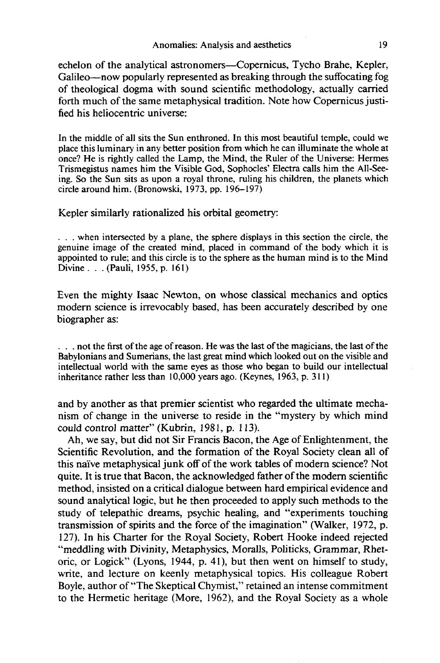echelon of the analytical astronomers—Copernicus, Tycho Brahe, Kepler, Galileo—now popularly represented as breaking through the suffocating fog of theological dogma with sound scientific methodology, actually carried forth much of the same metaphysical tradition. Note how Copernicus justified his heliocentric universe:

In the middle of all sits the Sun enthroned. In this most beautiful temple, could we place this luminary in any better position from which he can illuminate the whole at once? He is rightly called the Lamp, the Mind, the Ruler of the Universe: Hermes Trismegistus names him the Visible God, Sophocles' Electra calls him the All-Seeing. So the Sun sits as upon a royal throne, ruling his children, the planets which circle around him. (Bronowski, 1973, pp. 196-197)

Kepler similarly rationalized his orbital geometry:

. . . when intersected by a plane, the sphere displays in this section the circle, the genuine image of the created mind, placed in command of the body which it is appointed to rule; and this circle is to the sphere as the human mind is to the Mind Divine. . .(Pauli, 1955, p. 161)

Even the mighty Isaac Newton, on whose classical mechanics and optics modern science is irrevocably based, has been accurately described by one biographer as:

. . . not the first of the age of reason. He was the last of the magicians, the last of the Babylonians and Sumerians, the last great mind which looked out on the visible and intellectual world with the same eyes as those who began to build our intellectual inheritance rather less than 10,000 years ago. (Keynes, 1963, p. 311)

and by another as that premier scientist who regarded the ultimate mechanism of change in the universe to reside in the "mystery by which mind could control matter" (Kubrin, 1981, p. 113).

Ah, we say, but did not Sir Francis Bacon, the Age of Enlightenment, the Scientific Revolution, and the formation of the Royal Society clean all of this naive metaphysical junk off of the work tables of modern science? Not quite. It is true that Bacon, the acknowledged father of the modern scientific method, insisted on a critical dialogue between hard empirical evidence and sound analytical logic, but he then proceeded to apply such methods to the study of telepathic dreams, psychic healing, and "experiments touching transmission of spirits and the force of the imagination" (Walker, 1972, p. 127). In his Charter for the Royal Society, Robert Hooke indeed rejected "meddling with Divinity, Metaphysics, Moralls, Politicks, Grammar, Rhetoric, or Logick" (Lyons, 1944, p. 41), but then went on himself to study, write, and lecture on keenly metaphysical topics. His colleague Robert Boyle, author of "The Skeptical Chymist," retained an intense commitment to the Hermetic heritage (More, 1962), and the Royal Society as a whole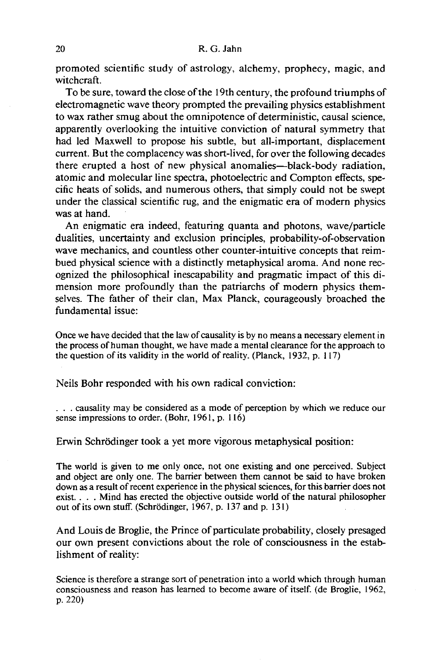promoted scientific study of astrology, alchemy, prophecy, magic, and witchcraft.

To be sure, toward the close of the 19th century, the profound triumphs of electromagnetic wave theory prompted the prevailing physics establishment to wax rather smug about the omnipotence of deterministic, causal science, apparently overlooking the intuitive conviction of natural symmetry that had led Maxwell to propose his subtle, but all-important, displacement current. But the complacency was short-lived, for over the following decades there erupted a host of new physical anomalies—black-body radiation, atomic and molecular line spectra, photoelectric and Compton effects, specific heats of solids, and numerous others, that simply could not be swept under the classical scientific rug, and the enigmatic era of modern physics was at hand.

An enigmatic era indeed, featuring quanta and photons, wave/particle dualities, uncertainty and exclusion principles, probability-of-observation wave mechanics, and countless other counter-intuitive concepts that reimbued physical science with a distinctly metaphysical aroma. And none recognized the philosophical inescapability and pragmatic impact of this dimension more profoundly than the patriarchs of modern physics themselves. The father of their clan, Max Planck, courageously broached the fundamental issue:

Once we have decided that the law of causality is by no means a necessary element in the process of human thought, we have made a mental clearance for the approach to the question of its validity in the world of reality. (Planck, 1932, p. 117)

Neils Bohr responded with his own radical conviction:

. . . causality may be considered as a mode of perception by which we reduce our sense impressions to order. (Bohr, 1961, p. 116)

Erwin Schrödinger took a yet more vigorous metaphysical position:

The world is given to me only once, not one existing and one perceived. Subject and object are only one. The barrier between them cannot be said to have broken down as a result of recent experience in the physical sciences, for this barrier does not exist. . . . Mind has erected the objective outside world of the natural philosopher out of its own stuff. (Schrödinger, 1967, p. 137 and p. 131)

And Louis de Broglie, the Prince of particulate probability, closely presaged our own present convictions about the role of consciousness in the establishment of reality:

Science is therefore a strange sort of penetration into a world which through human consciousness and reason has learned to become aware of itself. (de Broglie, 1962, p. 220)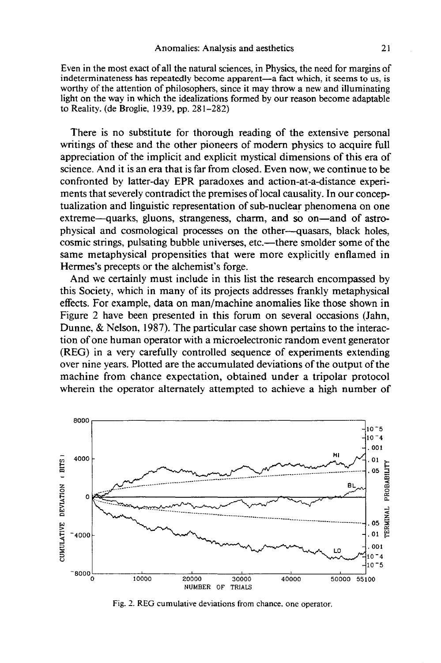Even in the most exact of all the natural sciences, in Physics, the need for margins of indeterminateness has repeatedly become apparent—a fact which, it seems to us, is worthy of the attention of philosophers, since it may throw a new and illuminating light on the way in which the idealizations formed by our reason become adaptable to Reality. (de Broglie, 1939, pp. 281-282)

There is no substitute for thorough reading of the extensive personal writings of these and the other pioneers of modern physics to acquire full appreciation of the implicit and explicit mystical dimensions of this era of science. And it is an era that is far from closed. Even now, we continue to be confronted by latter-day EPR paradoxes and action-at-a-distance experiments that severely contradict the premises of local causality. In our conceptualization and linguistic representation of sub-nuclear phenomena on one extreme—quarks, gluons, strangeness, charm, and so on—and of astrophysical and cosmological processes on the other—quasars, black holes, cosmic strings, pulsating bubble universes, etc.—there smolder some of the same metaphysical propensities that were more explicitly enflamed in Hermes's precepts or the alchemist's forge.

And we certainly must include in this list the research encompassed by this Society, which in many of its projects addresses frankly metaphysical effects. For example, data on man/machine anomalies like those shown in Figure 2 have been presented in this forum on several occasions (Jahn, Dunne, & Nelson, 1987). The particular case shown pertains to the interaction of one human operator with a microelectronic random event generator (REG) in a very carefully controlled sequence of experiments extending over nine years. Plotted are the accumulated deviations of the output of the machine from chance expectation, obtained under a tripolar protocol wherein the operator alternately attempted to achieve a high number of



Fig. 2. REG cumulative deviations from chance, one operator.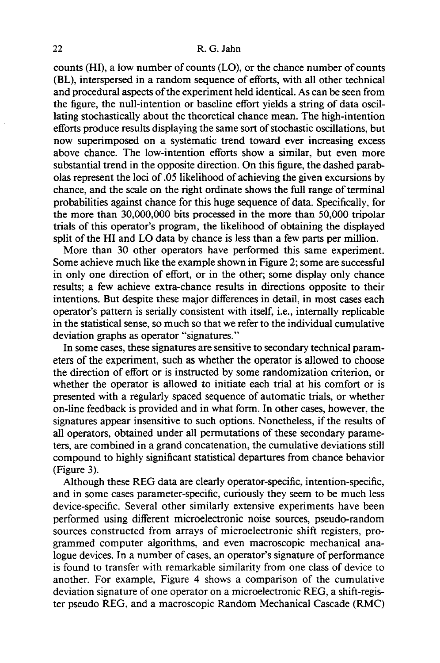counts (HI), a low number of counts (LO), or the chance number of counts (BL), interspersed in a random sequence of efforts, with all other technical and procedural aspects of the experiment held identical. As can be seen from the figure, the null-intention or baseline effort yields a string of data oscillating stochastically about the theoretical chance mean. The high-intention efforts produce results displaying the same sort of stochastic oscillations, but now superimposed on a systematic trend toward ever increasing excess above chance. The low-intention efforts show a similar, but even more substantial trend in the opposite direction. On this figure, the dashed parabolas represent the loci of .05 likelihood of achieving the given excursions by chance, and the scale on the right ordinate shows the full range of terminal probabilities against chance for this huge sequence of data. Specifically, for the more than 30,000,000 bits processed in the more than 50,000 tripolar trials of this operator's program, the likelihood of obtaining the displayed split of the HI and LO data by chance is less than a few parts per million.

More than 30 other operators have performed this same experiment. Some achieve much like the example shown in Figure 2; some are successful in only one direction of effort, or in the other; some display only chance results; a few achieve extra-chance results in directions opposite to their intentions. But despite these major differences in detail, in most cases each operator's pattern is serially consistent with itself, i.e., internally replicable in the statistical sense, so much so that we refer to the individual cumulative deviation graphs as operator "signatures."

In some cases, these signatures are sensitive to secondary technical parameters of the experiment, such as whether the operator is allowed to choose the direction of effort or is instructed by some randomization criterion, or whether the operator is allowed to initiate each trial at his comfort or is presented with a regularly spaced sequence of automatic trials, or whether on-line feedback is provided and in what form. In other cases, however, the signatures appear insensitive to such options. Nonetheless, if the results of all operators, obtained under all permutations of these secondary parameters, are combined in a grand concatenation, the cumulative deviations still compound to highly significant statistical departures from chance behavior (Figure 3).

Although these REG data are clearly operator-specific, intention-specific, and in some cases parameter-specific, curiously they seem to be much less device-specific. Several other similarly extensive experiments have been performed using different microelectronic noise sources, pseudo-random sources constructed from arrays of microelectronic shift registers, programmed computer algorithms, and even macroscopic mechanical analogue devices. In a number of cases, an operator's signature of performance is found to transfer with remarkable similarity from one class of device to another. For example, Figure 4 shows a comparison of the cumulative deviation signature of one operator on a microelectronic REG, a shift-register pseudo REG, and a macroscopic Random Mechanical Cascade (RMC)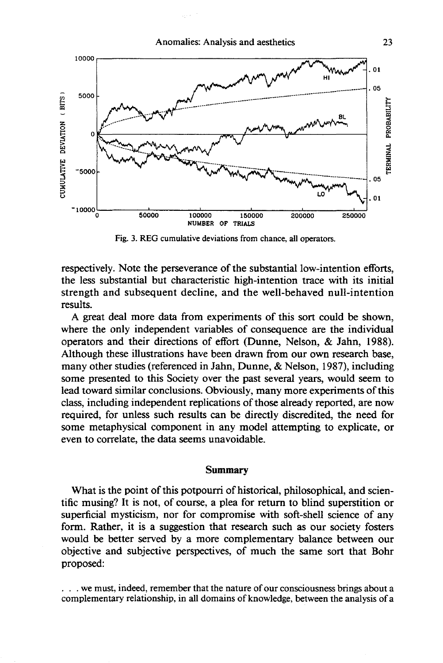

Fig. 3. REG cumulative deviations from chance, all operators.

respectively. Note the perseverance of the substantial low-intention efforts, the less substantial but characteristic high-intention trace with its initial strength and subsequent decline, and the well-behaved null-intention results.

A great deal more data from experiments of this sort could be shown, where the only independent variables of consequence are the individual operators and their directions of effort (Dunne, Nelson, & Jahn, 1988). Although these illustrations have been drawn from our own research base, many other studies (referenced in Jahn, Dunne, & Nelson, 1987), including some presented to this Society over the past several years, would seem to lead toward similar conclusions. Obviously, many more experiments of this class, including independent replications of those already reported, are now required, for unless such results can be directly discredited, the need for some metaphysical component in any model attempting to explicate, or even to correlate, the data seems unavoidable.

#### **Summary**

What is the point of this potpourri of historical, philosophical, and scientific musing? It is not, of course, a plea for return to blind superstition or superficial mysticism, nor for compromise with soft-shell science of any form. Rather, it is a suggestion that research such as our society fosters would be better served by a more complementary balance between our objective and subjective perspectives, of much the same sort that Bohr proposed:

... we must, indeed, remember that the nature of our consciousness brings about a complementary relationship, in all domains of knowledge, between the analysis of a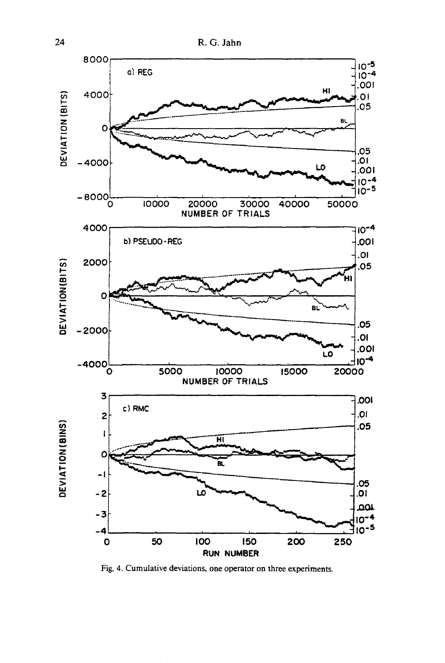

Fig. 4. Cumulative deviations, one operator on three experiments.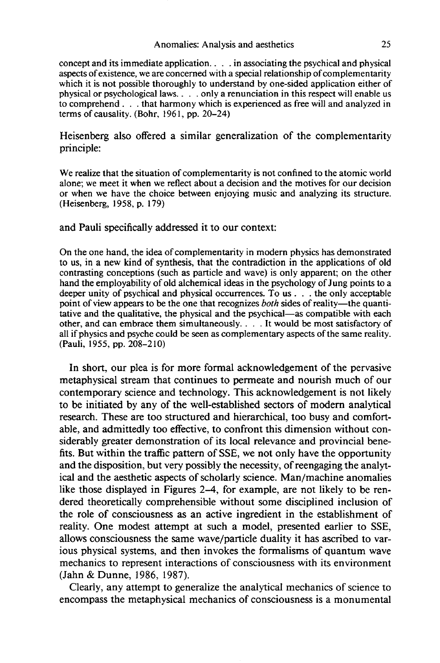#### Anomalies: Analysis and aesthetics 25

concept and its immediate application.... in associating the psychical and physical aspects of existence, we are concerned with a special relationship of complementarity which it is not possible thoroughly to understand by one-sided application either of physical or psychological laws.. . . only a renunciation in this respect will enable us to comprehend . . . that harmony which is experienced as free will and analyzed in terms of causality. (Bohr, 1961, pp. 20-24)

Heisenberg also offered a similar generalization of the complementarity principle:

We realize that the situation of complementarity is not confined to the atomic world alone; we meet it when we reflect about a decision and the motives for our decision or when we have the choice between enjoying music and analyzing its structure. (Heisenberg, 1958, p. 179)

## and Pauli specifically addressed it to our context:

On the one hand, the idea of complementarity in modern physics has demonstrated to us, in a new kind of synthesis, that the contradiction in the applications of old contrasting conceptions (such as particle and wave) is only apparent; on the other hand the employability of old alchemical ideas in the psychology of Jung points to a deeper unity of psychical and physical occurrences. To us . . . the only acceptable point of view appears to be the one that recognizes *both* sides of reality—the quantitative and the qualitative, the physical and the psychical—as compatible with each other, and can embrace them simultaneously. ... It would be most satisfactory of all if physics and psyche could be seen as complementary aspects of the same reality. (Pauli, 1955, pp. 208-210)

In short, our plea is for more formal acknowledgement of the pervasive metaphysical stream that continues to permeate and nourish much of our contemporary science and technology. This acknowledgement is not likely to be initiated by any of the well-established sectors of modern analytical research. These are too structured and hierarchical, too busy and comfortable, and admittedly too effective, to confront this dimension without considerably greater demonstration of its local relevance and provincial benefits. But within the traffic pattern of SSE, we not only have the opportunity and the disposition, but very possibly the necessity, of reengaging the analytical and the aesthetic aspects of scholarly science. Man/machine anomalies like those displayed in Figures 2-4, for example, are not likely to be rendered theoretically comprehensible without some disciplined inclusion of the role of consciousness as an active ingredient in the establishment of reality. One modest attempt at such a model, presented earlier to SSE, allows consciousness the same wave/particle duality it has ascribed to various physical systems, and then invokes the formalisms of quantum wave mechanics to represent interactions of consciousness with its environment (Jahn & Dunne, 1986, 1987).

Clearly, any attempt to generalize the analytical mechanics of science to encompass the metaphysical mechanics of consciousness is a monumental